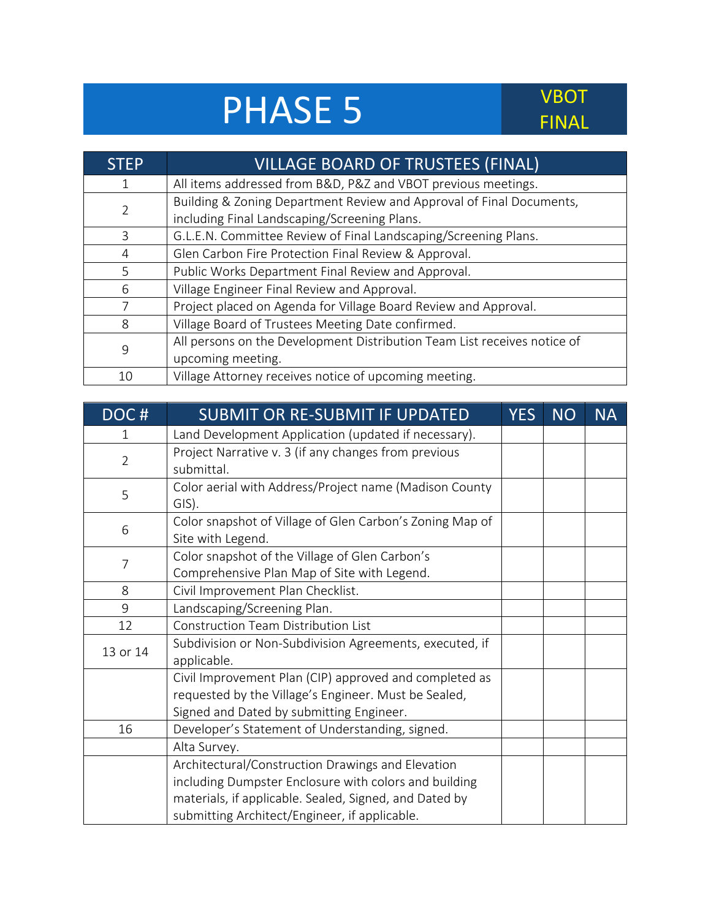## PHASE 5 VBOT

## FINAL

| <b>STEP</b> | <b>VILLAGE BOARD OF TRUSTEES (FINAL)</b>                                                                             |
|-------------|----------------------------------------------------------------------------------------------------------------------|
|             | All items addressed from B&D, P&Z and VBOT previous meetings.                                                        |
| 2           | Building & Zoning Department Review and Approval of Final Documents,<br>including Final Landscaping/Screening Plans. |
| 3           | G.L.E.N. Committee Review of Final Landscaping/Screening Plans.                                                      |
| 4           | Glen Carbon Fire Protection Final Review & Approval.                                                                 |
| 5           | Public Works Department Final Review and Approval.                                                                   |
| 6           | Village Engineer Final Review and Approval.                                                                          |
|             | Project placed on Agenda for Village Board Review and Approval.                                                      |
| 8           | Village Board of Trustees Meeting Date confirmed.                                                                    |
| 9           | All persons on the Development Distribution Team List receives notice of                                             |
|             | upcoming meeting.                                                                                                    |
| 10          | Village Attorney receives notice of upcoming meeting.                                                                |

| DOC#           | <b>SUBMIT OR RE-SUBMIT IF UPDATED</b>                                                                                                                                                                                 | <b>YES</b> | <b>NO</b> | <b>NA</b> |
|----------------|-----------------------------------------------------------------------------------------------------------------------------------------------------------------------------------------------------------------------|------------|-----------|-----------|
| 1              | Land Development Application (updated if necessary).                                                                                                                                                                  |            |           |           |
| $\overline{2}$ | Project Narrative v. 3 (if any changes from previous<br>submittal.                                                                                                                                                    |            |           |           |
| 5              | Color aerial with Address/Project name (Madison County<br>GIS).                                                                                                                                                       |            |           |           |
| 6              | Color snapshot of Village of Glen Carbon's Zoning Map of<br>Site with Legend.                                                                                                                                         |            |           |           |
| $\overline{7}$ | Color snapshot of the Village of Glen Carbon's<br>Comprehensive Plan Map of Site with Legend.                                                                                                                         |            |           |           |
| 8              | Civil Improvement Plan Checklist.                                                                                                                                                                                     |            |           |           |
| 9              | Landscaping/Screening Plan.                                                                                                                                                                                           |            |           |           |
| 12             | <b>Construction Team Distribution List</b>                                                                                                                                                                            |            |           |           |
| 13 or 14       | Subdivision or Non-Subdivision Agreements, executed, if<br>applicable.                                                                                                                                                |            |           |           |
|                | Civil Improvement Plan (CIP) approved and completed as<br>requested by the Village's Engineer. Must be Sealed,<br>Signed and Dated by submitting Engineer.                                                            |            |           |           |
| 16             | Developer's Statement of Understanding, signed.                                                                                                                                                                       |            |           |           |
|                | Alta Survey.                                                                                                                                                                                                          |            |           |           |
|                | Architectural/Construction Drawings and Elevation<br>including Dumpster Enclosure with colors and building<br>materials, if applicable. Sealed, Signed, and Dated by<br>submitting Architect/Engineer, if applicable. |            |           |           |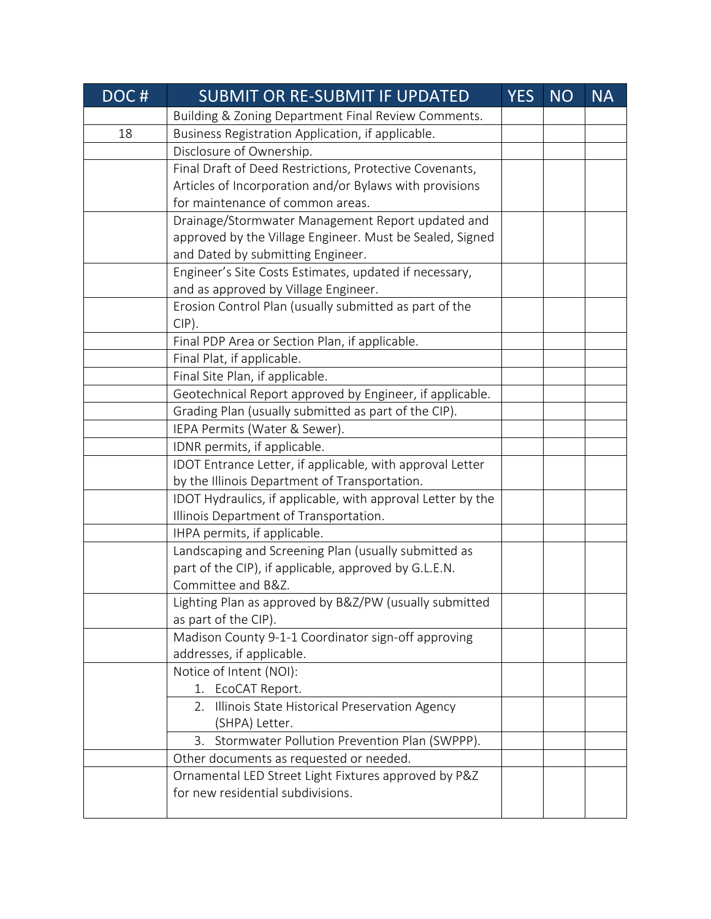| DOC# | <b>SUBMIT OR RE-SUBMIT IF UPDATED</b>                       | <b>YES</b> | <b>NO</b> | <b>NA</b> |
|------|-------------------------------------------------------------|------------|-----------|-----------|
|      | Building & Zoning Department Final Review Comments.         |            |           |           |
| 18   | Business Registration Application, if applicable.           |            |           |           |
|      | Disclosure of Ownership.                                    |            |           |           |
|      | Final Draft of Deed Restrictions, Protective Covenants,     |            |           |           |
|      | Articles of Incorporation and/or Bylaws with provisions     |            |           |           |
|      | for maintenance of common areas.                            |            |           |           |
|      | Drainage/Stormwater Management Report updated and           |            |           |           |
|      | approved by the Village Engineer. Must be Sealed, Signed    |            |           |           |
|      | and Dated by submitting Engineer.                           |            |           |           |
|      | Engineer's Site Costs Estimates, updated if necessary,      |            |           |           |
|      | and as approved by Village Engineer.                        |            |           |           |
|      | Erosion Control Plan (usually submitted as part of the      |            |           |           |
|      | $CIP$ ).                                                    |            |           |           |
|      | Final PDP Area or Section Plan, if applicable.              |            |           |           |
|      | Final Plat, if applicable.                                  |            |           |           |
|      | Final Site Plan, if applicable.                             |            |           |           |
|      | Geotechnical Report approved by Engineer, if applicable.    |            |           |           |
|      | Grading Plan (usually submitted as part of the CIP).        |            |           |           |
|      | IEPA Permits (Water & Sewer).                               |            |           |           |
|      | IDNR permits, if applicable.                                |            |           |           |
|      | IDOT Entrance Letter, if applicable, with approval Letter   |            |           |           |
|      | by the Illinois Department of Transportation.               |            |           |           |
|      | IDOT Hydraulics, if applicable, with approval Letter by the |            |           |           |
|      | Illinois Department of Transportation.                      |            |           |           |
|      | IHPA permits, if applicable.                                |            |           |           |
|      | Landscaping and Screening Plan (usually submitted as        |            |           |           |
|      | part of the CIP), if applicable, approved by G.L.E.N.       |            |           |           |
|      | Committee and B&Z.                                          |            |           |           |
|      | Lighting Plan as approved by B&Z/PW (usually submitted      |            |           |           |
|      | as part of the CIP).                                        |            |           |           |
|      | Madison County 9-1-1 Coordinator sign-off approving         |            |           |           |
|      | addresses, if applicable.                                   |            |           |           |
|      | Notice of Intent (NOI):                                     |            |           |           |
|      | 1. EcoCAT Report.                                           |            |           |           |
|      | Illinois State Historical Preservation Agency<br>2.         |            |           |           |
|      | (SHPA) Letter.                                              |            |           |           |
|      | 3. Stormwater Pollution Prevention Plan (SWPPP).            |            |           |           |
|      | Other documents as requested or needed.                     |            |           |           |
|      | Ornamental LED Street Light Fixtures approved by P&Z        |            |           |           |
|      | for new residential subdivisions.                           |            |           |           |
|      |                                                             |            |           |           |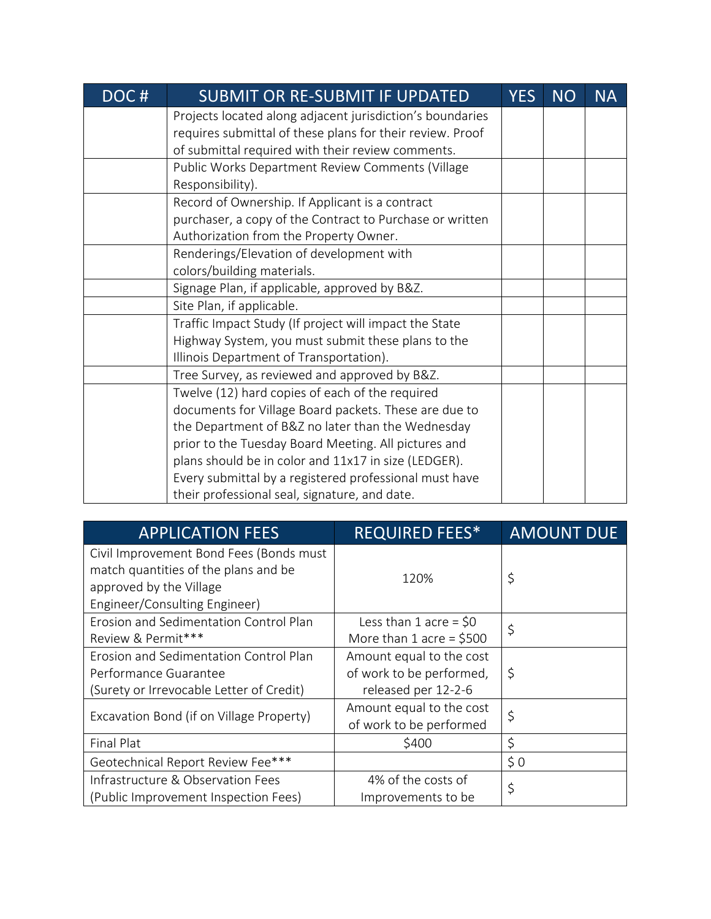| DOC# | <b>SUBMIT OR RE-SUBMIT IF UPDATED</b>                     | <b>YES</b> | <b>NO</b> | <b>NA</b> |
|------|-----------------------------------------------------------|------------|-----------|-----------|
|      | Projects located along adjacent jurisdiction's boundaries |            |           |           |
|      | requires submittal of these plans for their review. Proof |            |           |           |
|      | of submittal required with their review comments.         |            |           |           |
|      | Public Works Department Review Comments (Village          |            |           |           |
|      | Responsibility).                                          |            |           |           |
|      | Record of Ownership. If Applicant is a contract           |            |           |           |
|      | purchaser, a copy of the Contract to Purchase or written  |            |           |           |
|      | Authorization from the Property Owner.                    |            |           |           |
|      | Renderings/Elevation of development with                  |            |           |           |
|      | colors/building materials.                                |            |           |           |
|      | Signage Plan, if applicable, approved by B&Z.             |            |           |           |
|      | Site Plan, if applicable.                                 |            |           |           |
|      | Traffic Impact Study (If project will impact the State    |            |           |           |
|      | Highway System, you must submit these plans to the        |            |           |           |
|      | Illinois Department of Transportation).                   |            |           |           |
|      | Tree Survey, as reviewed and approved by B&Z.             |            |           |           |
|      | Twelve (12) hard copies of each of the required           |            |           |           |
|      | documents for Village Board packets. These are due to     |            |           |           |
|      | the Department of B&Z no later than the Wednesday         |            |           |           |
|      | prior to the Tuesday Board Meeting. All pictures and      |            |           |           |
|      | plans should be in color and 11x17 in size (LEDGER).      |            |           |           |
|      | Every submittal by a registered professional must have    |            |           |           |
|      | their professional seal, signature, and date.             |            |           |           |

| <b>APPLICATION FEES</b>                  | <b>REQUIRED FEES*</b>     | <b>AMOUNT DUE</b> |  |
|------------------------------------------|---------------------------|-------------------|--|
| Civil Improvement Bond Fees (Bonds must  |                           |                   |  |
| match quantities of the plans and be     | 120%                      | \$                |  |
| approved by the Village                  |                           |                   |  |
| Engineer/Consulting Engineer)            |                           |                   |  |
| Erosion and Sedimentation Control Plan   | Less than 1 acre = $$0$   | \$                |  |
| Review & Permit***                       | More than 1 acre = $$500$ |                   |  |
| Erosion and Sedimentation Control Plan   | Amount equal to the cost  |                   |  |
| Performance Guarantee                    | of work to be performed,  | \$                |  |
| (Surety or Irrevocable Letter of Credit) | released per 12-2-6       |                   |  |
|                                          | Amount equal to the cost  | \$                |  |
| Excavation Bond (if on Village Property) | of work to be performed   |                   |  |
| Final Plat                               | \$400                     | \$                |  |
| Geotechnical Report Review Fee***        |                           | \$0               |  |
| Infrastructure & Observation Fees        | 4% of the costs of<br>\$  |                   |  |
| (Public Improvement Inspection Fees)     | Improvements to be        |                   |  |